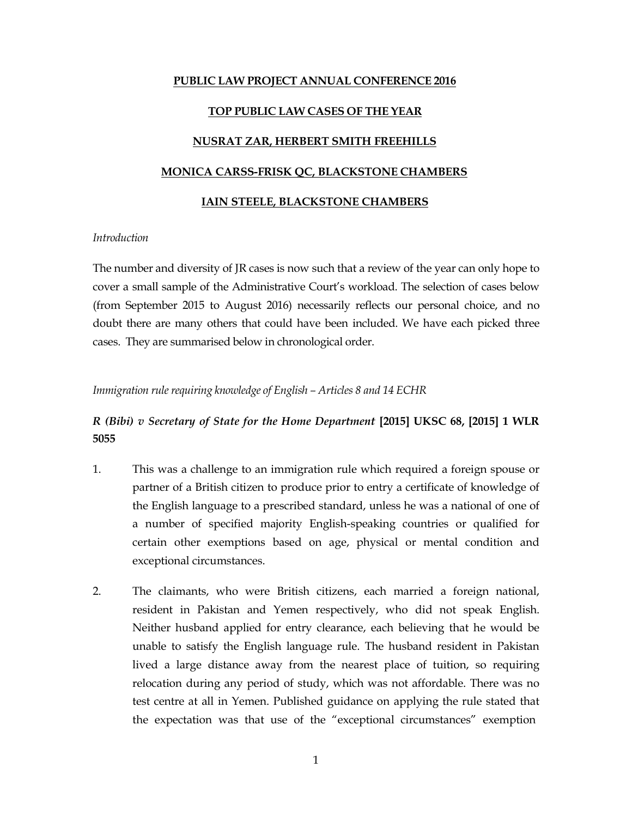## **PUBLIC LAW PROJECT ANNUAL CONFERENCE 2016**

## **TOP PUBLIC LAW CASES OF THE YEAR**

## **NUSRAT ZAR, HERBERT SMITH FREEHILLS**

## **MONICA CARSS-FRISK QC, BLACKSTONE CHAMBERS**

### **IAIN STEELE, BLACKSTONE CHAMBERS**

## *Introduction*

The number and diversity of JR cases is now such that a review of the year can only hope to cover a small sample of the Administrative Court's workload. The selection of cases below (from September 2015 to August 2016) necessarily reflects our personal choice, and no doubt there are many others that could have been included. We have each picked three cases. They are summarised below in chronological order.

## *Immigration rule requiring knowledge of English – Articles 8 and 14 ECHR*

## *R (Bibi) v Secretary of State for the Home Department* **[2015] UKSC 68, [2015] 1 WLR 5055**

- 1. This was a challenge to an immigration rule which required a foreign spouse or partner of a British citizen to produce prior to entry a certificate of knowledge of the English language to a prescribed standard, unless he was a national of one of a number of specified majority English-speaking countries or qualified for certain other exemptions based on age, physical or mental condition and exceptional circumstances.
- 2. The claimants, who were British citizens, each married a foreign national, resident in Pakistan and Yemen respectively, who did not speak English. Neither husband applied for entry clearance, each believing that he would be unable to satisfy the English language rule. The husband resident in Pakistan lived a large distance away from the nearest place of tuition, so requiring relocation during any period of study, which was not affordable. There was no test centre at all in Yemen. Published guidance on applying the rule stated that the expectation was that use of the "exceptional circumstances" exemption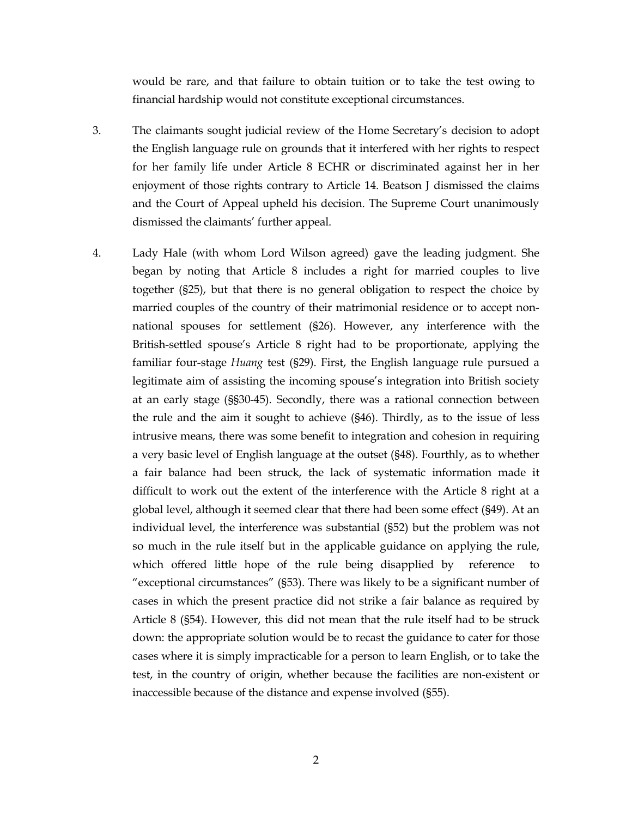would be rare, and that failure to obtain tuition or to take the test owing to financial hardship would not constitute exceptional circumstances.

- 3. The claimants sought judicial review of the Home Secretary's decision to adopt the English language rule on grounds that it interfered with her rights to respect for her family life under Article 8 ECHR or discriminated against her in her enjoyment of those rights contrary to Article 14. Beatson J dismissed the claims and the Court of Appeal upheld his decision. The Supreme Court unanimously dismissed the claimants' further appeal.
- 4. Lady Hale (with whom Lord Wilson agreed) gave the leading judgment. She began by noting that Article 8 includes a right for married couples to live together (§25), but that there is no general obligation to respect the choice by married couples of the country of their matrimonial residence or to accept nonnational spouses for settlement (§26). However, any interference with the British-settled spouse's Article 8 right had to be proportionate, applying the familiar four-stage *Huang* test (§29). First, the English language rule pursued a legitimate aim of assisting the incoming spouse's integration into British society at an early stage (§§30-45). Secondly, there was a rational connection between the rule and the aim it sought to achieve (§46). Thirdly, as to the issue of less intrusive means, there was some benefit to integration and cohesion in requiring a very basic level of English language at the outset (§48). Fourthly, as to whether a fair balance had been struck, the lack of systematic information made it difficult to work out the extent of the interference with the Article 8 right at a global level, although it seemed clear that there had been some effect (§49). At an individual level, the interference was substantial (§52) but the problem was not so much in the rule itself but in the applicable guidance on applying the rule, which offered little hope of the rule being disapplied by reference to "exceptional circumstances" (§53). There was likely to be a significant number of cases in which the present practice did not strike a fair balance as required by Article 8 (§54). However, this did not mean that the rule itself had to be struck down: the appropriate solution would be to recast the guidance to cater for those cases where it is simply impracticable for a person to learn English, or to take the test, in the country of origin, whether because the facilities are non-existent or inaccessible because of the distance and expense involved (§55).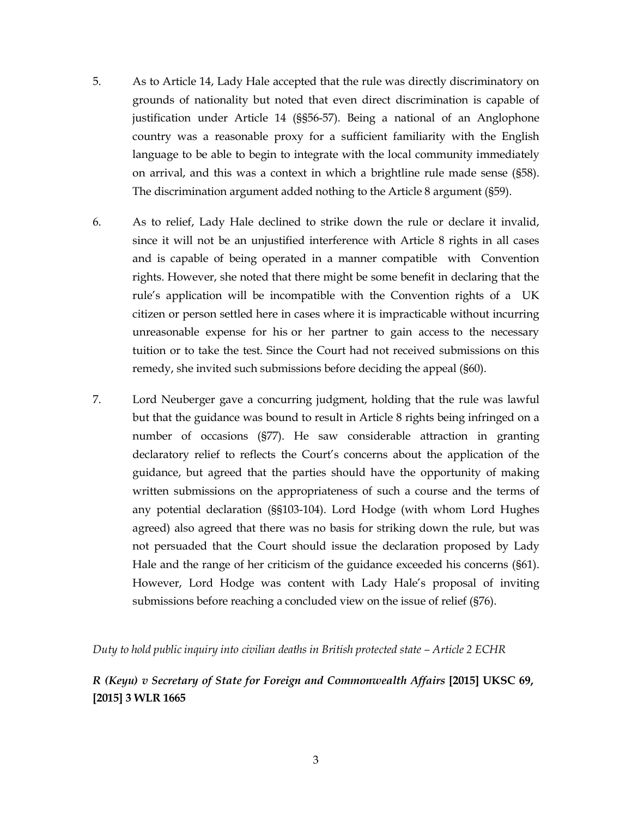- 5. As to Article 14, Lady Hale accepted that the rule was directly discriminatory on grounds of nationality but noted that even direct discrimination is capable of justification under Article 14 (§§56-57). Being a national of an Anglophone country was a reasonable proxy for a sufficient familiarity with the English language to be able to begin to integrate with the local community immediately on arrival, and this was a context in which a brightline rule made sense (§58). The discrimination argument added nothing to the Article 8 argument (§59).
- 6. As to relief, Lady Hale declined to strike down the rule or declare it invalid, since it will not be an unjustified interference with Article 8 rights in all cases and is capable of being operated in a manner compatible with Convention rights. However, she noted that there might be some benefit in declaring that the rule's application will be incompatible with the Convention rights of a UK citizen or person settled here in cases where it is impracticable without incurring unreasonable expense for his or her partner to gain access to the necessary tuition or to take the test. Since the Court had not received submissions on this remedy, she invited such submissions before deciding the appeal (§60).
- 7. Lord Neuberger gave a concurring judgment, holding that the rule was lawful but that the guidance was bound to result in Article 8 rights being infringed on a number of occasions (§77). He saw considerable attraction in granting declaratory relief to reflects the Court's concerns about the application of the guidance, but agreed that the parties should have the opportunity of making written submissions on the appropriateness of such a course and the terms of any potential declaration (§§103-104). Lord Hodge (with whom Lord Hughes agreed) also agreed that there was no basis for striking down the rule, but was not persuaded that the Court should issue the declaration proposed by Lady Hale and the range of her criticism of the guidance exceeded his concerns (§61). However, Lord Hodge was content with Lady Hale's proposal of inviting submissions before reaching a concluded view on the issue of relief (§76).

*Duty to hold public inquiry into civilian deaths in British protected state – Article 2 ECHR*

# *R (Keyu) v Secretary of State for Foreign and Commonwealth Affairs* **[2015] UKSC 69, [2015] 3 WLR 1665**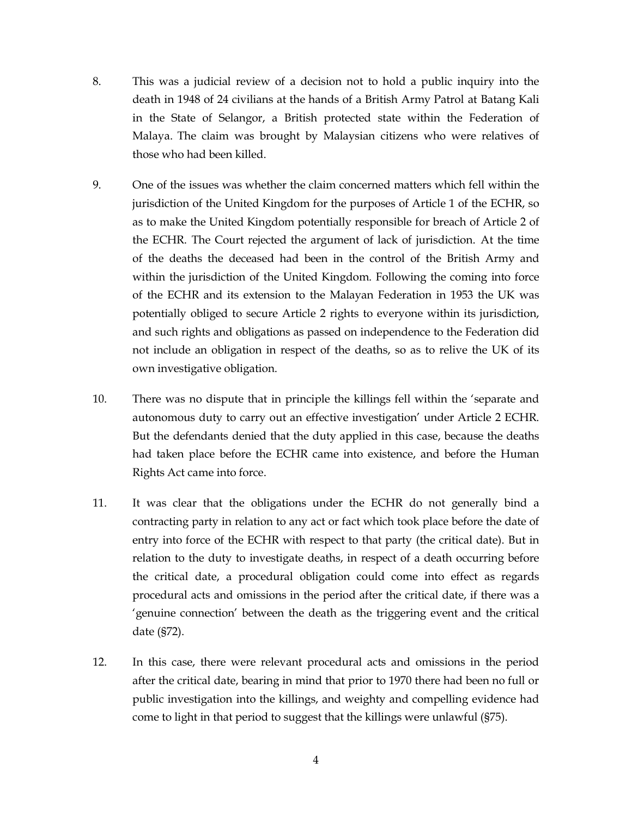- 8. This was a judicial review of a decision not to hold a public inquiry into the death in 1948 of 24 civilians at the hands of a British Army Patrol at Batang Kali in the State of Selangor, a British protected state within the Federation of Malaya. The claim was brought by Malaysian citizens who were relatives of those who had been killed.
- 9. One of the issues was whether the claim concerned matters which fell within the jurisdiction of the United Kingdom for the purposes of Article 1 of the ECHR, so as to make the United Kingdom potentially responsible for breach of Article 2 of the ECHR. The Court rejected the argument of lack of jurisdiction. At the time of the deaths the deceased had been in the control of the British Army and within the jurisdiction of the United Kingdom. Following the coming into force of the ECHR and its extension to the Malayan Federation in 1953 the UK was potentially obliged to secure Article 2 rights to everyone within its jurisdiction, and such rights and obligations as passed on independence to the Federation did not include an obligation in respect of the deaths, so as to relive the UK of its own investigative obligation.
- 10. There was no dispute that in principle the killings fell within the 'separate and autonomous duty to carry out an effective investigation' under Article 2 ECHR. But the defendants denied that the duty applied in this case, because the deaths had taken place before the ECHR came into existence, and before the Human Rights Act came into force.
- 11. It was clear that the obligations under the ECHR do not generally bind a contracting party in relation to any act or fact which took place before the date of entry into force of the ECHR with respect to that party (the critical date). But in relation to the duty to investigate deaths, in respect of a death occurring before the critical date, a procedural obligation could come into effect as regards procedural acts and omissions in the period after the critical date, if there was a 'genuine connection' between the death as the triggering event and the critical date (§72).
- 12. In this case, there were relevant procedural acts and omissions in the period after the critical date, bearing in mind that prior to 1970 there had been no full or public investigation into the killings, and weighty and compelling evidence had come to light in that period to suggest that the killings were unlawful (§75).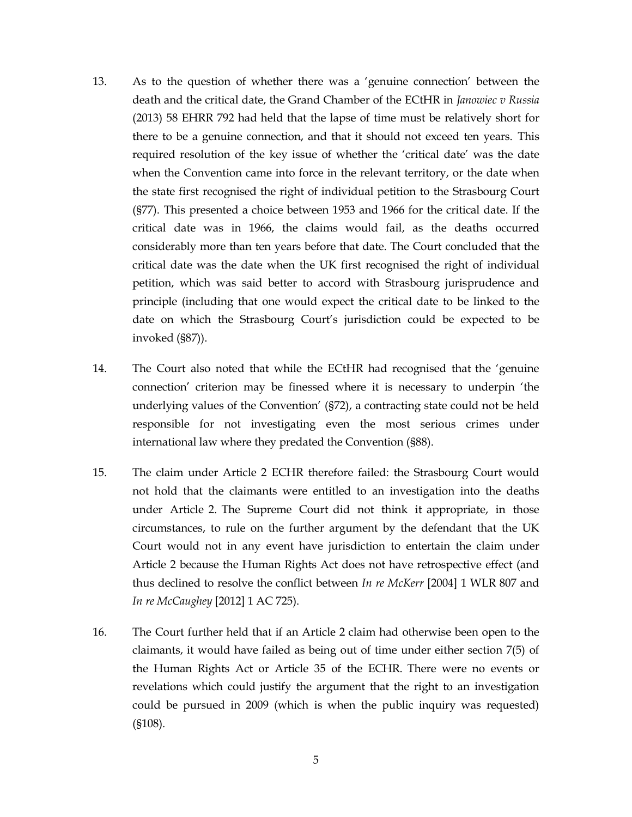- 13. As to the question of whether there was a 'genuine connection' between the death and the critical date, the Grand Chamber of the ECtHR in *Janowiec v Russia* (2013) 58 EHRR 792 had held that the lapse of time must be relatively short for there to be a genuine connection, and that it should not exceed ten years. This required resolution of the key issue of whether the 'critical date' was the date when the Convention came into force in the relevant territory, or the date when the state first recognised the right of individual petition to the Strasbourg Court (§77). This presented a choice between 1953 and 1966 for the critical date. If the critical date was in 1966, the claims would fail, as the deaths occurred considerably more than ten years before that date. The Court concluded that the critical date was the date when the UK first recognised the right of individual petition, which was said better to accord with Strasbourg jurisprudence and principle (including that one would expect the critical date to be linked to the date on which the Strasbourg Court's jurisdiction could be expected to be invoked (§87)).
- 14. The Court also noted that while the ECtHR had recognised that the 'genuine connection' criterion may be finessed where it is necessary to underpin 'the underlying values of the Convention' (§72), a contracting state could not be held responsible for not investigating even the most serious crimes under international law where they predated the Convention (§88).
- 15. The claim under Article 2 ECHR therefore failed: the Strasbourg Court would not hold that the claimants were entitled to an investigation into the deaths under Article 2. The Supreme Court did not think it appropriate, in those circumstances, to rule on the further argument by the defendant that the UK Court would not in any event have jurisdiction to entertain the claim under Article 2 because the Human Rights Act does not have retrospective effect (and thus declined to resolve the conflict between *In re McKerr* [2004] 1 WLR 807 and *In re McCaughey* [2012] 1 AC 725).
- 16. The Court further held that if an Article 2 claim had otherwise been open to the claimants, it would have failed as being out of time under either section 7(5) of the Human Rights Act or Article 35 of the ECHR. There were no events or revelations which could justify the argument that the right to an investigation could be pursued in 2009 (which is when the public inquiry was requested) (§108).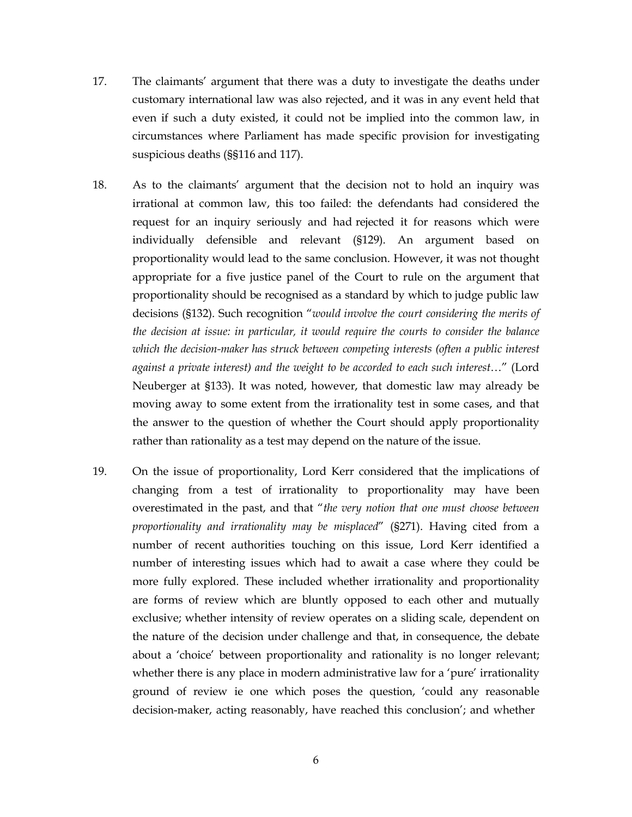- 17. The claimants' argument that there was a duty to investigate the deaths under customary international law was also rejected, and it was in any event held that even if such a duty existed, it could not be implied into the common law, in circumstances where Parliament has made specific provision for investigating suspicious deaths (§§116 and 117).
- 18. As to the claimants' argument that the decision not to hold an inquiry was irrational at common law, this too failed: the defendants had considered the request for an inquiry seriously and had rejected it for reasons which were individually defensible and relevant (§129). An argument based on proportionality would lead to the same conclusion. However, it was not thought appropriate for a five justice panel of the Court to rule on the argument that proportionality should be recognised as a standard by which to judge public law decisions (§132). Such recognition "*would involve the court considering the merits of the decision at issue: in particular, it would require the courts to consider the balance which the decision-maker has struck between competing interests (often a public interest against a private interest) and the weight to be accorded to each such interest*…" (Lord Neuberger at §133). It was noted, however, that domestic law may already be moving away to some extent from the irrationality test in some cases, and that the answer to the question of whether the Court should apply proportionality rather than rationality as a test may depend on the nature of the issue.
- 19. On the issue of proportionality, Lord Kerr considered that the implications of changing from a test of irrationality to proportionality may have been overestimated in the past, and that "*the very notion that one must choose between proportionality and irrationality may be misplaced*" (§271). Having cited from a number of recent authorities touching on this issue, Lord Kerr identified a number of interesting issues which had to await a case where they could be more fully explored. These included whether irrationality and proportionality are forms of review which are bluntly opposed to each other and mutually exclusive; whether intensity of review operates on a sliding scale, dependent on the nature of the decision under challenge and that, in consequence, the debate about a 'choice' between proportionality and rationality is no longer relevant; whether there is any place in modern administrative law for a 'pure' irrationality ground of review ie one which poses the question, 'could any reasonable decision-maker, acting reasonably, have reached this conclusion'; and whether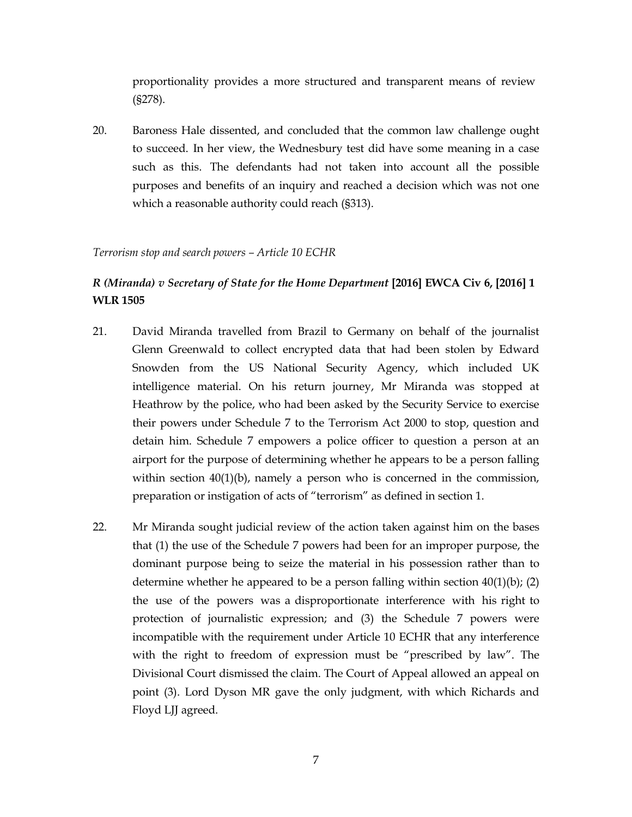proportionality provides a more structured and transparent means of review (§278).

20. Baroness Hale dissented, and concluded that the common law challenge ought to succeed. In her view, the Wednesbury test did have some meaning in a case such as this. The defendants had not taken into account all the possible purposes and benefits of an inquiry and reached a decision which was not one which a reasonable authority could reach (§313).

## *Terrorism stop and search powers – Article 10 ECHR*

# *R (Miranda) v Secretary of State for the Home Department* **[2016] EWCA Civ 6, [2016] 1 WLR 1505**

- 21. David Miranda travelled from Brazil to Germany on behalf of the journalist Glenn Greenwald to collect encrypted data that had been stolen by Edward Snowden from the US National Security Agency, which included UK intelligence material. On his return journey, Mr Miranda was stopped at Heathrow by the police, who had been asked by the Security Service to exercise their powers under Schedule 7 to the Terrorism Act 2000 to stop, question and detain him. Schedule 7 empowers a police officer to question a person at an airport for the purpose of determining whether he appears to be a person falling within section 40(1)(b), namely a person who is concerned in the commission, preparation or instigation of acts of "terrorism" as defined in section 1.
- 22. Mr Miranda sought judicial review of the action taken against him on the bases that (1) the use of the Schedule 7 powers had been for an improper purpose, the dominant purpose being to seize the material in his possession rather than to determine whether he appeared to be a person falling within section  $40(1)(b)$ ; (2) the use of the powers was a disproportionate interference with his right to protection of journalistic expression; and (3) the Schedule 7 powers were incompatible with the requirement under Article 10 ECHR that any interference with the right to freedom of expression must be "prescribed by law". The Divisional Court dismissed the claim. The Court of Appeal allowed an appeal on point (3). Lord Dyson MR gave the only judgment, with which Richards and Floyd LJJ agreed.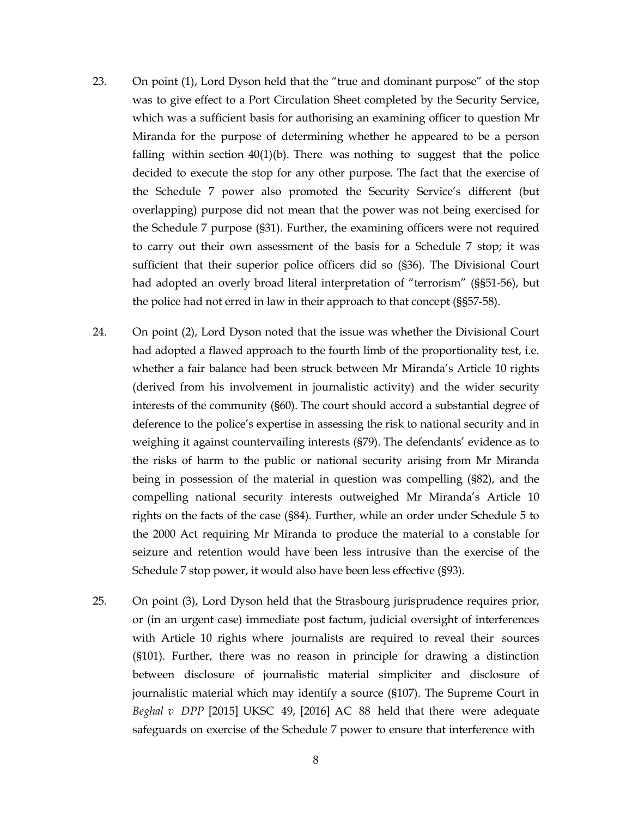- 23. On point (1), Lord Dyson held that the "true and dominant purpose" of the stop was to give effect to a Port Circulation Sheet completed by the Security Service, which was a sufficient basis for authorising an examining officer to question Mr Miranda for the purpose of determining whether he appeared to be a person falling within section  $40(1)(b)$ . There was nothing to suggest that the police decided to execute the stop for any other purpose. The fact that the exercise of the Schedule 7 power also promoted the Security Service's different (but overlapping) purpose did not mean that the power was not being exercised for the Schedule 7 purpose (§31). Further, the examining officers were not required to carry out their own assessment of the basis for a Schedule 7 stop; it was sufficient that their superior police officers did so (§36). The Divisional Court had adopted an overly broad literal interpretation of "terrorism" (§§51-56), but the police had not erred in law in their approach to that concept (§§57-58).
- 24. On point (2), Lord Dyson noted that the issue was whether the Divisional Court had adopted a flawed approach to the fourth limb of the proportionality test, i.e. whether a fair balance had been struck between Mr Miranda's Article 10 rights (derived from his involvement in journalistic activity) and the wider security interests of the community (§60). The court should accord a substantial degree of deference to the police's expertise in assessing the risk to national security and in weighing it against countervailing interests (§79). The defendants' evidence as to the risks of harm to the public or national security arising from Mr Miranda being in possession of the material in question was compelling (§82), and the compelling national security interests outweighed Mr Miranda's Article 10 rights on the facts of the case (§84). Further, while an order under Schedule 5 to the 2000 Act requiring Mr Miranda to produce the material to a constable for seizure and retention would have been less intrusive than the exercise of the Schedule 7 stop power, it would also have been less effective (§93).
- 25. On point (3), Lord Dyson held that the Strasbourg jurisprudence requires prior, or (in an urgent case) immediate post factum, judicial oversight of interferences with Article 10 rights where journalists are required to reveal their sources (§101). Further, there was no reason in principle for drawing a distinction between disclosure of journalistic material simpliciter and disclosure of journalistic material which may identify a source (§107). The Supreme Court in *Beghal v DPP* [2015] UKSC 49, [2016] AC 88 held that there were adequate safeguards on exercise of the Schedule 7 power to ensure that interference with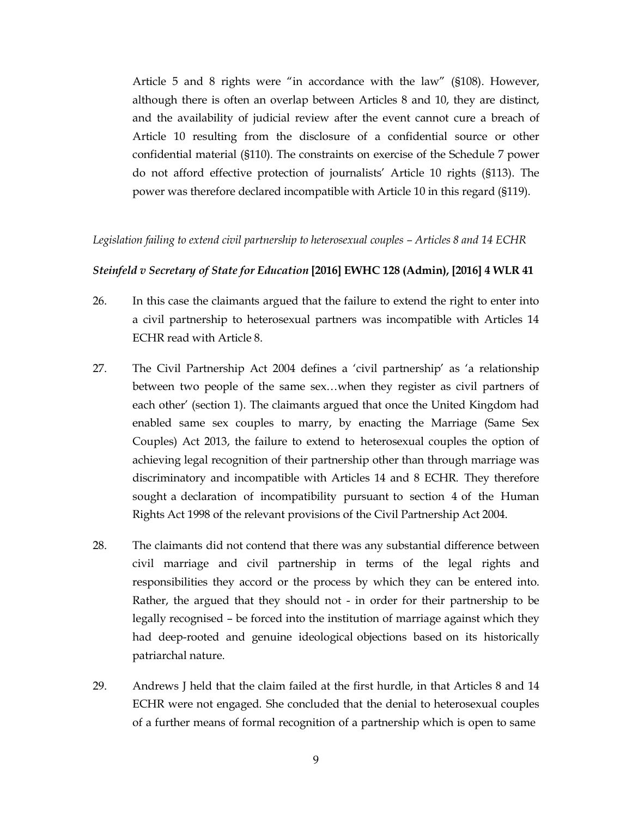Article 5 and 8 rights were "in accordance with the law" (§108). However, although there is often an overlap between Articles 8 and 10, they are distinct, and the availability of judicial review after the event cannot cure a breach of Article 10 resulting from the disclosure of a confidential source or other confidential material (§110). The constraints on exercise of the Schedule 7 power do not afford effective protection of journalists' Article 10 rights (§113). The power was therefore declared incompatible with Article 10 in this regard (§119).

#### *Legislation failing to extend civil partnership to heterosexual couples – Articles 8 and 14 ECHR*

## *Steinfeld v Secretary of State for Education* **[2016] EWHC 128 (Admin), [2016] 4 WLR 41**

- 26. In this case the claimants argued that the failure to extend the right to enter into a civil partnership to heterosexual partners was incompatible with Articles 14 ECHR read with Article 8.
- 27. The Civil Partnership Act 2004 defines a 'civil partnership' as 'a relationship between two people of the same sex…when they register as civil partners of each other' (section 1). The claimants argued that once the United Kingdom had enabled same sex couples to marry, by enacting the Marriage (Same Sex Couples) Act 2013, the failure to extend to heterosexual couples the option of achieving legal recognition of their partnership other than through marriage was discriminatory and incompatible with Articles 14 and 8 ECHR. They therefore sought a declaration of incompatibility pursuant to section 4 of the Human Rights Act 1998 of the relevant provisions of the Civil Partnership Act 2004.
- 28. The claimants did not contend that there was any substantial difference between civil marriage and civil partnership in terms of the legal rights and responsibilities they accord or the process by which they can be entered into. Rather, the argued that they should not - in order for their partnership to be legally recognised – be forced into the institution of marriage against which they had deep-rooted and genuine ideological objections based on its historically patriarchal nature.
- 29. Andrews J held that the claim failed at the first hurdle, in that Articles 8 and 14 ECHR were not engaged. She concluded that the denial to heterosexual couples of a further means of formal recognition of a partnership which is open to same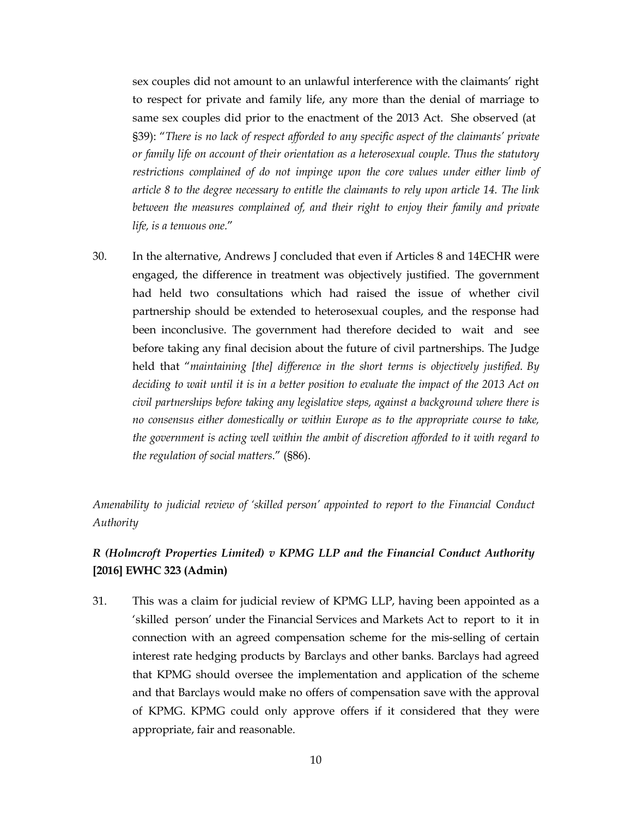sex couples did not amount to an unlawful interference with the claimants' right to respect for private and family life, any more than the denial of marriage to same sex couples did prior to the enactment of the 2013 Act. She observed (at §39): "*There is no lack of respect afforded to any specific aspect of the claimants' private or family life on account of their orientation as a heterosexual couple. Thus the statutory restrictions complained of do not impinge upon the core values under either limb of article 8 to the degree necessary to entitle the claimants to rely upon article 14. The link between the measures complained of, and their right to enjoy their family and private life, is a tenuous one.*"

30. In the alternative, Andrews J concluded that even if Articles 8 and 14ECHR were engaged, the difference in treatment was objectively justified. The government had held two consultations which had raised the issue of whether civil partnership should be extended to heterosexual couples, and the response had been inconclusive. The government had therefore decided to wait and see before taking any final decision about the future of civil partnerships. The Judge held that "*maintaining [the] difference in the short terms is objectively justified. By deciding to wait until it is in a better position to evaluate the impact of the 2013 Act on civil partnerships before taking any legislative steps, against a background where there is no consensus either domestically or within Europe as to the appropriate course to take, the government is acting well within the ambit of discretion afforded to it with regard to the regulation of social matters*." (§86).

*Amenability to judicial review of 'skilled person' appointed to report to the Financial Conduct Authority*

# *R (Holmcroft Properties Limited) v KPMG LLP and the Financial Conduct Authority* **[2016] EWHC 323 (Admin)**

31. This was a claim for judicial review of KPMG LLP, having been appointed as a 'skilled person' under the Financial Services and Markets Act to report to it in connection with an agreed compensation scheme for the mis-selling of certain interest rate hedging products by Barclays and other banks. Barclays had agreed that KPMG should oversee the implementation and application of the scheme and that Barclays would make no offers of compensation save with the approval of KPMG. KPMG could only approve offers if it considered that they were appropriate, fair and reasonable.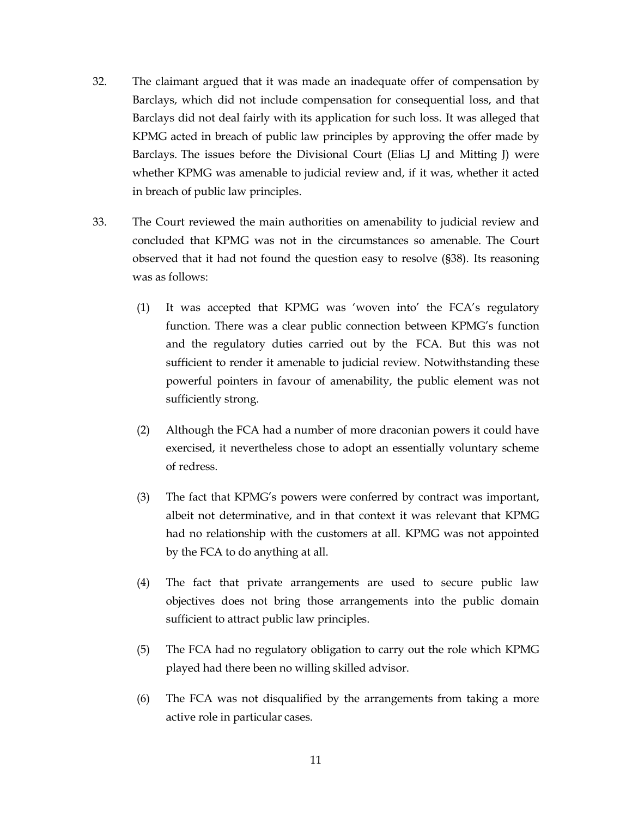- 32. The claimant argued that it was made an inadequate offer of compensation by Barclays, which did not include compensation for consequential loss, and that Barclays did not deal fairly with its application for such loss. It was alleged that KPMG acted in breach of public law principles by approving the offer made by Barclays. The issues before the Divisional Court (Elias LJ and Mitting J) were whether KPMG was amenable to judicial review and, if it was, whether it acted in breach of public law principles.
- 33. The Court reviewed the main authorities on amenability to judicial review and concluded that KPMG was not in the circumstances so amenable. The Court observed that it had not found the question easy to resolve (§38). Its reasoning was as follows:
	- (1) It was accepted that KPMG was 'woven into' the FCA's regulatory function. There was a clear public connection between KPMG's function and the regulatory duties carried out by the FCA. But this was not sufficient to render it amenable to judicial review. Notwithstanding these powerful pointers in favour of amenability, the public element was not sufficiently strong.
	- (2) Although the FCA had a number of more draconian powers it could have exercised, it nevertheless chose to adopt an essentially voluntary scheme of redress.
	- (3) The fact that KPMG's powers were conferred by contract was important, albeit not determinative, and in that context it was relevant that KPMG had no relationship with the customers at all. KPMG was not appointed by the FCA to do anything at all.
	- (4) The fact that private arrangements are used to secure public law objectives does not bring those arrangements into the public domain sufficient to attract public law principles.
	- (5) The FCA had no regulatory obligation to carry out the role which KPMG played had there been no willing skilled advisor.
	- (6) The FCA was not disqualified by the arrangements from taking a more active role in particular cases.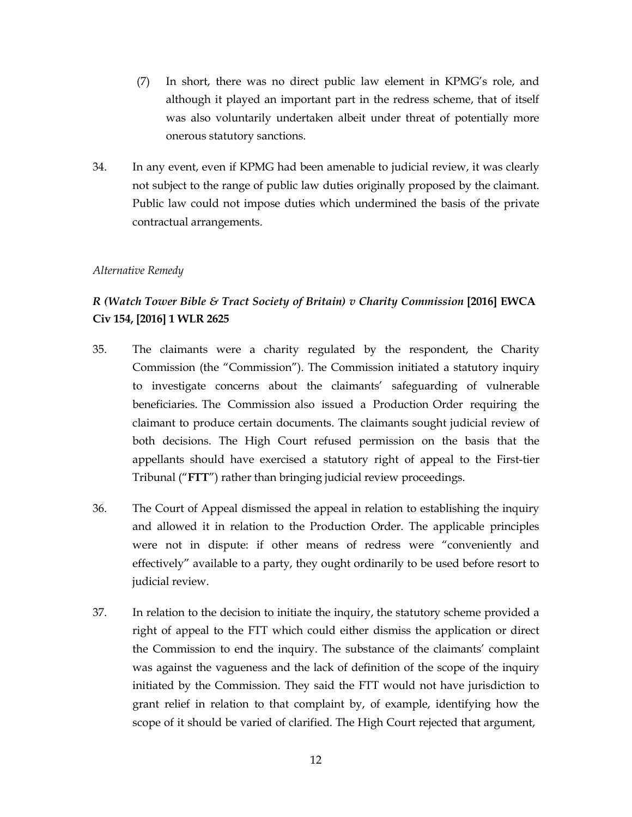- (7) In short, there was no direct public law element in KPMG's role, and although it played an important part in the redress scheme, that of itself was also voluntarily undertaken albeit under threat of potentially more onerous statutory sanctions.
- 34. In any event, even if KPMG had been amenable to judicial review, it was clearly not subject to the range of public law duties originally proposed by the claimant. Public law could not impose duties which undermined the basis of the private contractual arrangements.

## *Alternative Remedy*

# *R (Watch Tower Bible & Tract Society of Britain) v Charity Commission* **[2016] EWCA Civ 154, [2016] 1 WLR 2625**

- 35. The claimants were a charity regulated by the respondent, the Charity Commission (the "Commission"). The Commission initiated a statutory inquiry to investigate concerns about the claimants' safeguarding of vulnerable beneficiaries. The Commission also issued a Production Order requiring the claimant to produce certain documents. The claimants sought judicial review of both decisions. The High Court refused permission on the basis that the appellants should have exercised a statutory right of appeal to the First-tier Tribunal ("**FTT**") rather than bringing judicial review proceedings.
- 36. The Court of Appeal dismissed the appeal in relation to establishing the inquiry and allowed it in relation to the Production Order. The applicable principles were not in dispute: if other means of redress were "conveniently and effectively" available to a party, they ought ordinarily to be used before resort to judicial review.
- 37. In relation to the decision to initiate the inquiry, the statutory scheme provided a right of appeal to the FTT which could either dismiss the application or direct the Commission to end the inquiry. The substance of the claimants' complaint was against the vagueness and the lack of definition of the scope of the inquiry initiated by the Commission. They said the FTT would not have jurisdiction to grant relief in relation to that complaint by, of example, identifying how the scope of it should be varied of clarified. The High Court rejected that argument,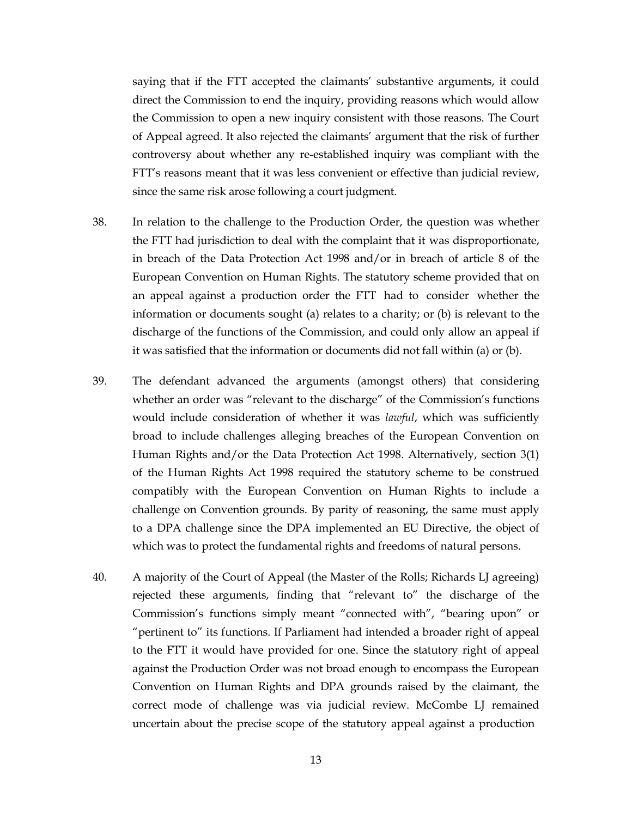saying that if the FTT accepted the claimants' substantive arguments, it could direct the Commission to end the inquiry, providing reasons which would allow the Commission to open a new inquiry consistent with those reasons. The Court of Appeal agreed. It also rejected the claimants' argument that the risk of further controversy about whether any re-established inquiry was compliant with the FTT's reasons meant that it was less convenient or effective than judicial review, since the same risk arose following a court judgment.

- 38. In relation to the challenge to the Production Order, the question was whether the FTT had jurisdiction to deal with the complaint that it was disproportionate, in breach of the Data Protection Act 1998 and/or in breach of article 8 of the European Convention on Human Rights. The statutory scheme provided that on an appeal against a production order the FTT had to consider whether the information or documents sought (a) relates to a charity; or (b) is relevant to the discharge of the functions of the Commission, and could only allow an appeal if it was satisfied that the information or documents did not fall within (a) or (b).
- 39. The defendant advanced the arguments (amongst others) that considering whether an order was "relevant to the discharge" of the Commission's functions would include consideration of whether it was *lawful*, which was sufficiently broad to include challenges alleging breaches of the European Convention on Human Rights and/or the Data Protection Act 1998. Alternatively, section 3(1) of the Human Rights Act 1998 required the statutory scheme to be construed compatibly with the European Convention on Human Rights to include a challenge on Convention grounds. By parity of reasoning, the same must apply to a DPA challenge since the DPA implemented an EU Directive, the object of which was to protect the fundamental rights and freedoms of natural persons.
- 40. A majority of the Court of Appeal (the Master of the Rolls; Richards LJ agreeing) rejected these arguments, finding that "relevant to" the discharge of the Commission's functions simply meant "connected with", "bearing upon" or "pertinent to" its functions. If Parliament had intended a broader right of appeal to the FTT it would have provided for one. Since the statutory right of appeal against the Production Order was not broad enough to encompass the European Convention on Human Rights and DPA grounds raised by the claimant, the correct mode of challenge was via judicial review. McCombe LJ remained uncertain about the precise scope of the statutory appeal against a production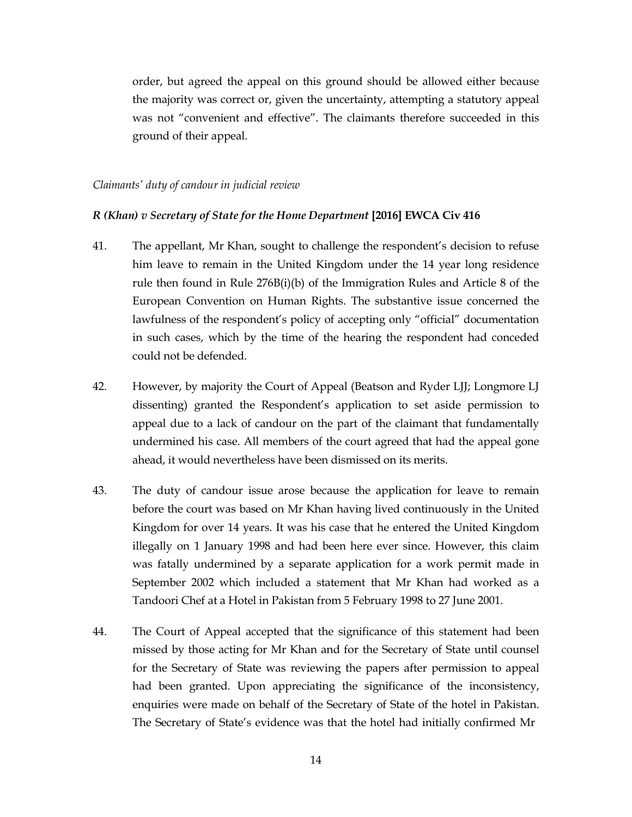order, but agreed the appeal on this ground should be allowed either because the majority was correct or, given the uncertainty, attempting a statutory appeal was not "convenient and effective". The claimants therefore succeeded in this ground of their appeal.

#### *Claimants' duty of candour in judicial review*

### *R (Khan) v Secretary of State for the Home Department* **[2016] EWCA Civ 416**

- 41. The appellant, Mr Khan, sought to challenge the respondent's decision to refuse him leave to remain in the United Kingdom under the 14 year long residence rule then found in Rule 276B(i)(b) of the Immigration Rules and Article 8 of the European Convention on Human Rights. The substantive issue concerned the lawfulness of the respondent's policy of accepting only "official" documentation in such cases, which by the time of the hearing the respondent had conceded could not be defended.
- 42. However, by majority the Court of Appeal (Beatson and Ryder LJJ; Longmore LJ dissenting) granted the Respondent's application to set aside permission to appeal due to a lack of candour on the part of the claimant that fundamentally undermined his case. All members of the court agreed that had the appeal gone ahead, it would nevertheless have been dismissed on its merits.
- 43. The duty of candour issue arose because the application for leave to remain before the court was based on Mr Khan having lived continuously in the United Kingdom for over 14 years. It was his case that he entered the United Kingdom illegally on 1 January 1998 and had been here ever since. However, this claim was fatally undermined by a separate application for a work permit made in September 2002 which included a statement that Mr Khan had worked as a Tandoori Chef at a Hotel in Pakistan from 5 February 1998 to 27 June 2001.
- 44. The Court of Appeal accepted that the significance of this statement had been missed by those acting for Mr Khan and for the Secretary of State until counsel for the Secretary of State was reviewing the papers after permission to appeal had been granted. Upon appreciating the significance of the inconsistency, enquiries were made on behalf of the Secretary of State of the hotel in Pakistan. The Secretary of State's evidence was that the hotel had initially confirmed Mr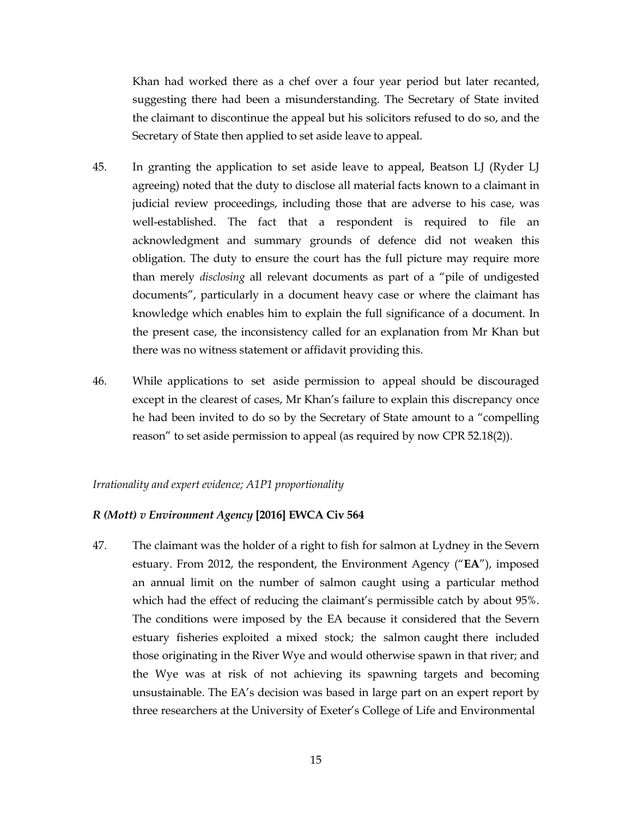Khan had worked there as a chef over a four year period but later recanted, suggesting there had been a misunderstanding. The Secretary of State invited the claimant to discontinue the appeal but his solicitors refused to do so, and the Secretary of State then applied to set aside leave to appeal.

- 45. In granting the application to set aside leave to appeal, Beatson LJ (Ryder LJ agreeing) noted that the duty to disclose all material facts known to a claimant in judicial review proceedings, including those that are adverse to his case, was well-established. The fact that a respondent is required to file an acknowledgment and summary grounds of defence did not weaken this obligation. The duty to ensure the court has the full picture may require more than merely *disclosing* all relevant documents as part of a "pile of undigested documents", particularly in a document heavy case or where the claimant has knowledge which enables him to explain the full significance of a document. In the present case, the inconsistency called for an explanation from Mr Khan but there was no witness statement or affidavit providing this.
- 46. While applications to set aside permission to appeal should be discouraged except in the clearest of cases, Mr Khan's failure to explain this discrepancy once he had been invited to do so by the Secretary of State amount to a "compelling reason" to set aside permission to appeal (as required by now CPR 52.18(2)).

## *Irrationality and expert evidence; A1P1 proportionality*

#### *R (Mott) v Environment Agency* **[2016] EWCA Civ 564**

47. The claimant was the holder of a right to fish for salmon at Lydney in the Severn estuary. From 2012, the respondent, the Environment Agency ("**EA**"), imposed an annual limit on the number of salmon caught using a particular method which had the effect of reducing the claimant's permissible catch by about 95%. The conditions were imposed by the EA because it considered that the Severn estuary fisheries exploited a mixed stock; the salmon caught there included those originating in the River Wye and would otherwise spawn in that river; and the Wye was at risk of not achieving its spawning targets and becoming unsustainable. The EA's decision was based in large part on an expert report by three researchers at the University of Exeter's College of Life and Environmental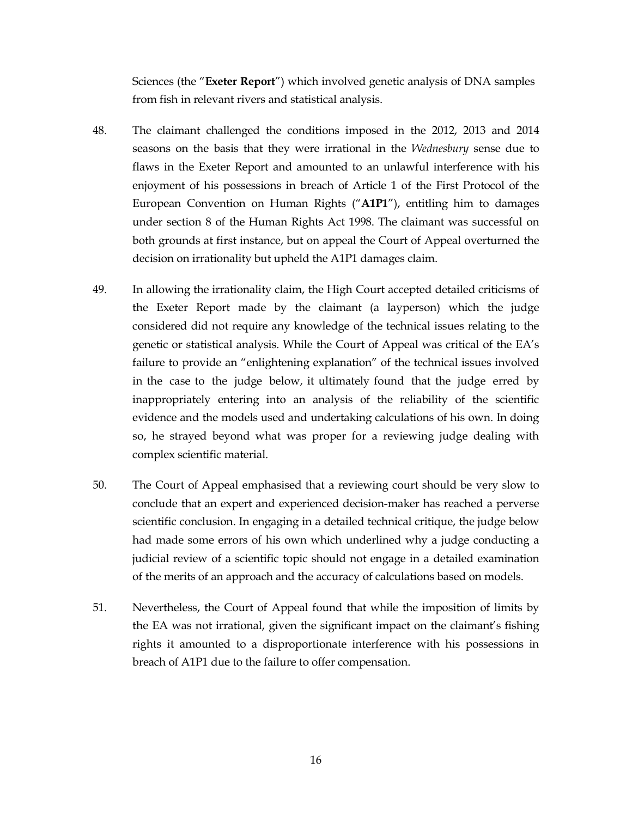Sciences (the "**Exeter Report**") which involved genetic analysis of DNA samples from fish in relevant rivers and statistical analysis.

- 48. The claimant challenged the conditions imposed in the 2012, 2013 and 2014 seasons on the basis that they were irrational in the *Wednesbury* sense due to flaws in the Exeter Report and amounted to an unlawful interference with his enjoyment of his possessions in breach of Article 1 of the First Protocol of the European Convention on Human Rights ("**A1P1**"), entitling him to damages under section 8 of the Human Rights Act 1998. The claimant was successful on both grounds at first instance, but on appeal the Court of Appeal overturned the decision on irrationality but upheld the A1P1 damages claim.
- 49. In allowing the irrationality claim, the High Court accepted detailed criticisms of the Exeter Report made by the claimant (a layperson) which the judge considered did not require any knowledge of the technical issues relating to the genetic or statistical analysis. While the Court of Appeal was critical of the EA's failure to provide an "enlightening explanation" of the technical issues involved in the case to the judge below, it ultimately found that the judge erred by inappropriately entering into an analysis of the reliability of the scientific evidence and the models used and undertaking calculations of his own. In doing so, he strayed beyond what was proper for a reviewing judge dealing with complex scientific material.
- 50. The Court of Appeal emphasised that a reviewing court should be very slow to conclude that an expert and experienced decision-maker has reached a perverse scientific conclusion. In engaging in a detailed technical critique, the judge below had made some errors of his own which underlined why a judge conducting a judicial review of a scientific topic should not engage in a detailed examination of the merits of an approach and the accuracy of calculations based on models.
- 51. Nevertheless, the Court of Appeal found that while the imposition of limits by the EA was not irrational, given the significant impact on the claimant's fishing rights it amounted to a disproportionate interference with his possessions in breach of A1P1 due to the failure to offer compensation.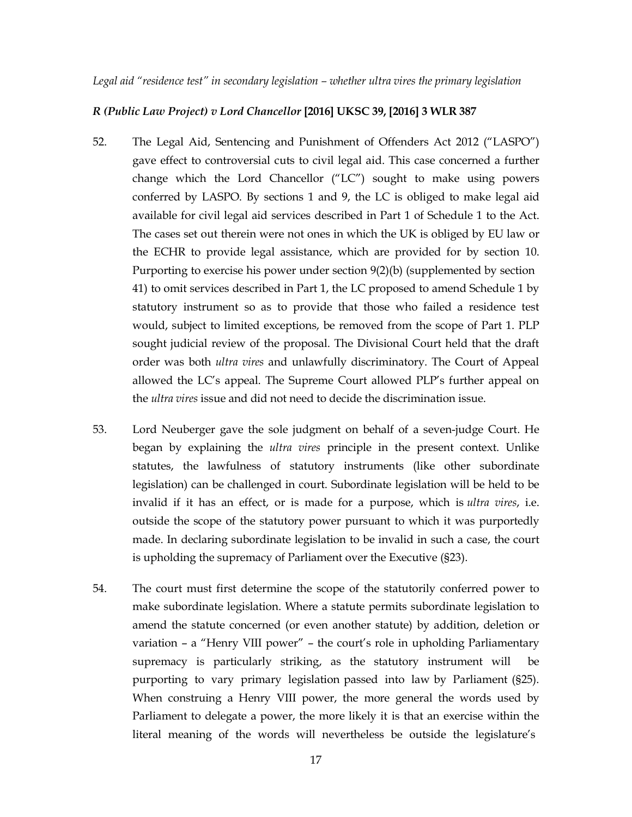## *R (Public Law Project) v Lord Chancellor* **[2016] UKSC 39, [2016] 3 WLR 387**

- 52. The Legal Aid, Sentencing and Punishment of Offenders Act 2012 ("LASPO") gave effect to controversial cuts to civil legal aid. This case concerned a further change which the Lord Chancellor ("LC") sought to make using powers conferred by LASPO. By sections 1 and 9, the LC is obliged to make legal aid available for civil legal aid services described in Part 1 of Schedule 1 to the Act. The cases set out therein were not ones in which the UK is obliged by EU law or the ECHR to provide legal assistance, which are provided for by section 10. Purporting to exercise his power under section 9(2)(b) (supplemented by section 41) to omit services described in Part 1, the LC proposed to amend Schedule 1 by statutory instrument so as to provide that those who failed a residence test would, subject to limited exceptions, be removed from the scope of Part 1. PLP sought judicial review of the proposal. The Divisional Court held that the draft order was both *ultra vires* and unlawfully discriminatory. The Court of Appeal allowed the LC's appeal. The Supreme Court allowed PLP's further appeal on the *ultra vires* issue and did not need to decide the discrimination issue.
- 53. Lord Neuberger gave the sole judgment on behalf of a seven-judge Court. He began by explaining the *ultra vires* principle in the present context. Unlike statutes, the lawfulness of statutory instruments (like other subordinate legislation) can be challenged in court. Subordinate legislation will be held to be invalid if it has an effect, or is made for a purpose, which is *ultra vires*, i.e. outside the scope of the statutory power pursuant to which it was purportedly made. In declaring subordinate legislation to be invalid in such a case, the court is upholding the supremacy of Parliament over the Executive (§23).
- 54. The court must first determine the scope of the statutorily conferred power to make subordinate legislation. Where a statute permits subordinate legislation to amend the statute concerned (or even another statute) by addition, deletion or variation – a "Henry VIII power" – the court's role in upholding Parliamentary supremacy is particularly striking, as the statutory instrument will be purporting to vary primary legislation passed into law by Parliament (§25). When construing a Henry VIII power, the more general the words used by Parliament to delegate a power, the more likely it is that an exercise within the literal meaning of the words will nevertheless be outside the legislature's